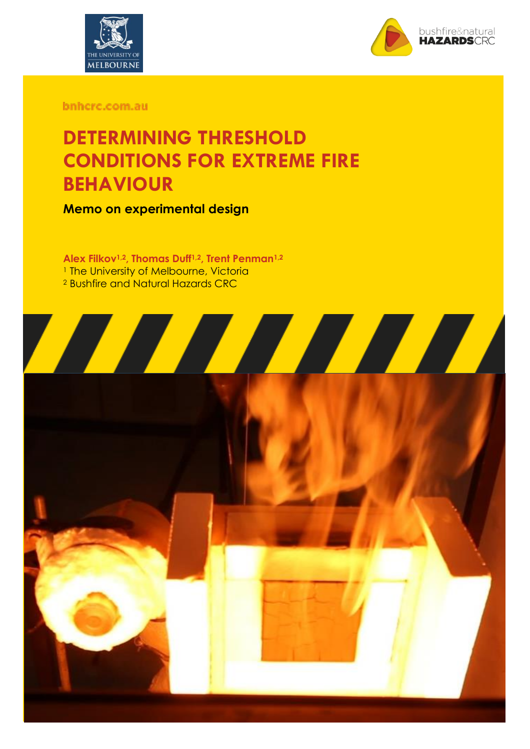



bnhcrc.com.au

# **DETERMINING THRESHOLD CONDITIONS FOR EXTREME FIRE BEHAVIOUR**

**Memo on experimental design**

**Alex Filkov1,2, Thomas Duff1,2, Trent Penman1,2** <sup>1</sup> The University of Melbourne, Victoria <sup>2</sup> Bushfire and Natural Hazards CRC

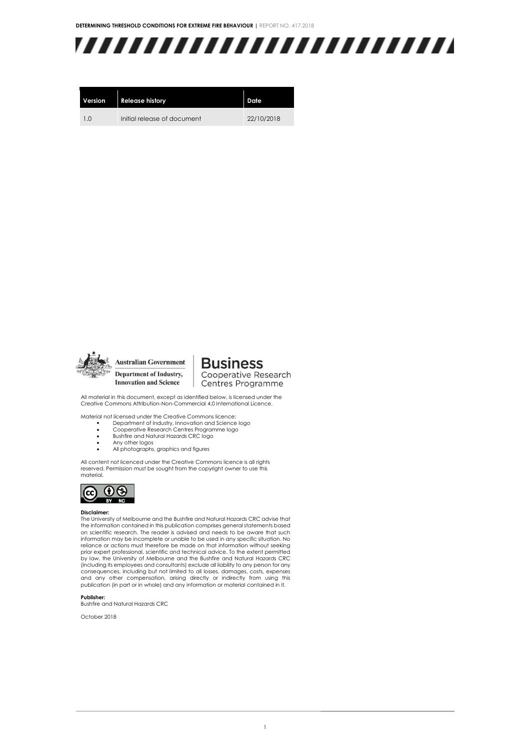

| Version        | <b>Release history</b>      | Date       |
|----------------|-----------------------------|------------|
| 1 <sub>0</sub> | Initial release of document | 22/10/2018 |



**Business** Cooperative Research Centres Programme

All material in this document, except as identified below, is licensed under the Creative Commons Attribution-Non-Commercial 4.0 International Licence.

Material not licensed under the Creative Commons licence:

- Department of Industry, Innovation and Science logo
- Cooperative Research Centres Programme logo
- Bushfire and Natural Hazards CRC logo
- Any other logos
- All photographs, graphics and figures

All content not licenced under the Creative Commons licence is all rights reserved. Permission must be sought from the copyright owner to use this material.



#### **Disclaimer:**

The University of Melbourne and the Bushfire and Natural Hazards CRC advise that the information contained in this publication comprises general statements based on scientific research. The reader is advised and needs to be aware that such information may be incomplete or unable to be used in any specific situation. No reliance or actions must therefore be made on that information without seeking prior expert professional, scientific and technical advice. To the extent permitted by law, the University of Melbourne and the Bushfire and Natural Hazards CRC (including its employees and consultants) exclude all liability to any person for any consequences, including but not limited to all losses, damages, costs, expenses and any other compensation, arising directly or indirectly from using this publication (in part or in whole) and any information or material contained in it.

**Publisher:**

Bushfire and Natural Hazards CRC

October 2018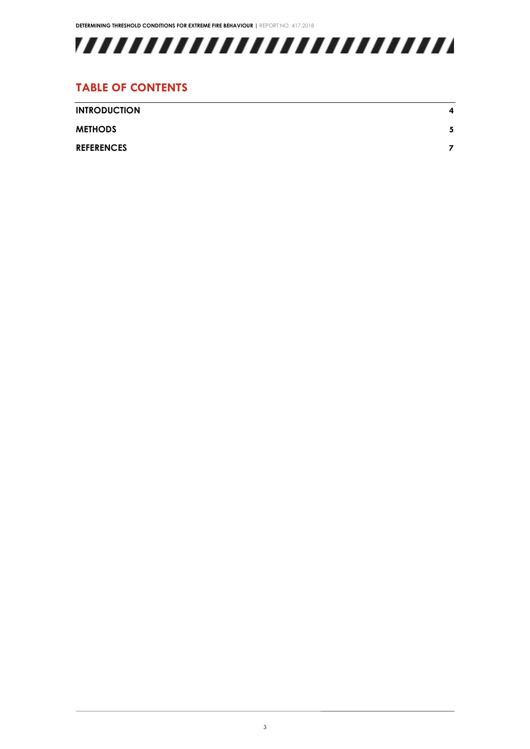

#### **TABLE OF CONTENTS**

| <b>INTRODUCTION</b> | 4 |
|---------------------|---|
| <b>METHODS</b>      | 5 |
| <b>REFERENCES</b>   |   |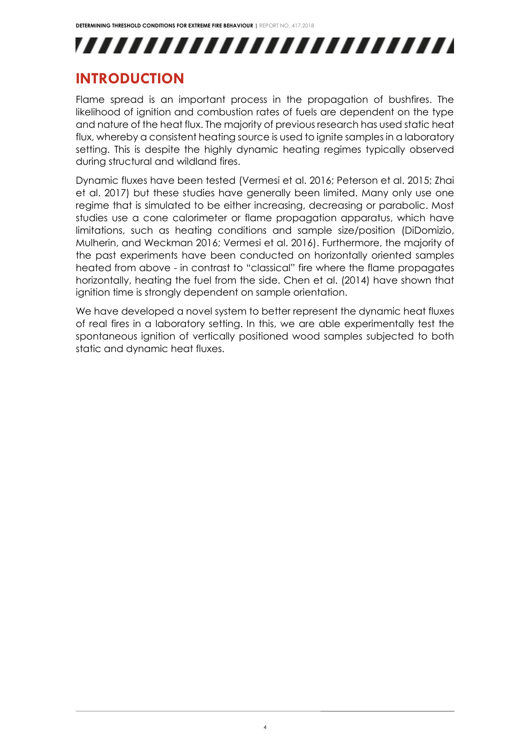# ,,,,,,,,,,,,,,,,,,,,,,,,,

# <span id="page-3-0"></span>**INTRODUCTION**

Flame spread is an important process in the propagation of bushfires. The likelihood of ignition and combustion rates of fuels are dependent on the type and nature of the heat flux. The majority of previous research has used static heat flux, whereby a consistent heating source is used to ignite samples in a laboratory setting. This is despite the highly dynamic heating regimes typically observed during structural and wildland fires.

Dynamic fluxes have been tested (Vermesi et al. 2016; Peterson et al. 2015; Zhai et al. 2017) but these studies have generally been limited. Many only use one regime that is simulated to be either increasing, decreasing or parabolic. Most studies use a cone calorimeter or flame propagation apparatus, which have limitations, such as heating conditions and sample size/position (DiDomizio, Mulherin, and Weckman 2016; Vermesi et al. 2016). Furthermore, the majority of the past experiments have been conducted on horizontally oriented samples heated from above - in contrast to "classical" fire where the flame propagates horizontally, heating the fuel from the side. Chen et al. (2014) have shown that ignition time is strongly dependent on sample orientation.

We have developed a novel system to better represent the dynamic heat fluxes of real fires in a laboratory setting. In this, we are able experimentally test the spontaneous ignition of vertically positioned wood samples subjected to both static and dynamic heat fluxes.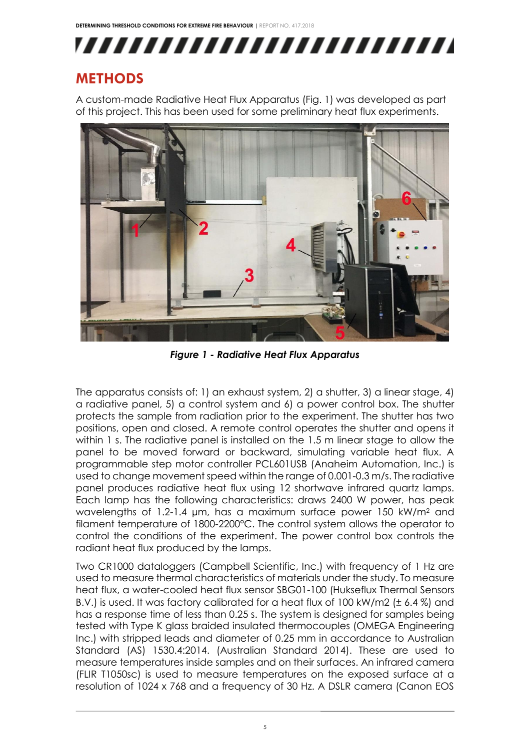,,,,,,,,,,,,,,,,,,,,,,,,,

# <span id="page-4-0"></span>**METHODS**

A custom-made Radiative Heat Flux Apparatus (Fig. 1) was developed as part of this project. This has been used for some preliminary heat flux experiments.



*Figure 1 - Radiative Heat Flux Apparatus*

The apparatus consists of: 1) an exhaust system, 2) a shutter, 3) a linear stage, 4) a radiative panel, 5) a control system and 6) a power control box. The shutter protects the sample from radiation prior to the experiment. The shutter has two positions, open and closed. A remote control operates the shutter and opens it within 1 s. The radiative panel is installed on the 1.5 m linear stage to allow the panel to be moved forward or backward, simulating variable heat flux. A programmable step motor controller PCL601USB (Anaheim Automation, Inc.) is used to change movement speed within the range of 0.001-0.3 m/s. The radiative panel produces radiative heat flux using 12 shortwave infrared quartz lamps. Each lamp has the following characteristics: draws 2400 W power, has peak wavelengths of 1.2-1.4 µm, has a maximum surface power 150 kW/m<sup>2</sup> and filament temperature of 1800-2200°C. The control system allows the operator to control the conditions of the experiment. The power control box controls the radiant heat flux produced by the lamps.

Two CR1000 dataloggers (Campbell Scientific, Inc.) with frequency of 1 Hz are used to measure thermal characteristics of materials under the study. To measure heat flux, a water-cooled heat flux sensor SBG01-100 (Hukseflux Thermal Sensors B.V.) is used. It was factory calibrated for a heat flux of 100 kW/m2 (± 6.4 %) and has a response time of less than 0.25 s. The system is designed for samples being tested with Type K glass braided insulated thermocouples (OMEGA Engineering Inc.) with stripped leads and diameter of 0.25 mm in accordance to Australian Standard (AS) 1530.4:2014. (Australian Standard 2014). These are used to measure temperatures inside samples and on their surfaces. An infrared camera (FLIR T1050sc) is used to measure temperatures on the exposed surface at a resolution of 1024 x 768 and a frequency of 30 Hz. A DSLR camera (Canon EOS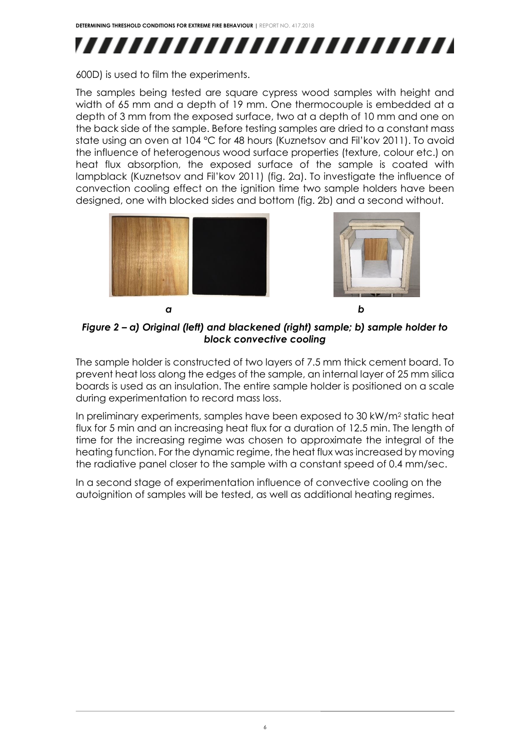

600D) is used to film the experiments.

The samples being tested are square cypress wood samples with height and width of 65 mm and a depth of 19 mm. One thermocouple is embedded at a depth of 3 mm from the exposed surface, two at a depth of 10 mm and one on the back side of the sample. Before testing samples are dried to a constant mass state using an oven at 104 °C for 48 hours (Kuznetsov and Fil'kov 2011). To avoid the influence of heterogenous wood surface properties (texture, colour etc.) on heat flux absorption, the exposed surface of the sample is coated with lampblack (Kuznetsov and Fil'kov 2011) (fig. 2a). To investigate the influence of convection cooling effect on the ignition time two sample holders have been designed, one with blocked sides and bottom (fig. 2b) and a second without.







*Figure 2 – a) Original (left) and blackened (right) sample; b) sample holder to block convective cooling*

The sample holder is constructed of two layers of 7.5 mm thick cement board. To prevent heat loss along the edges of the sample, an internal layer of 25 mm silica boards is used as an insulation. The entire sample holder is positioned on a scale during experimentation to record mass loss.

In preliminary experiments, samples have been exposed to 30 kW/m<sup>2</sup> static heat flux for 5 min and an increasing heat flux for a duration of 12.5 min. The length of time for the increasing regime was chosen to approximate the integral of the heating function. For the dynamic regime, the heat flux was increased by moving the radiative panel closer to the sample with a constant speed of 0.4 mm/sec.

In a second stage of experimentation influence of convective cooling on the autoignition of samples will be tested, as well as additional heating regimes.